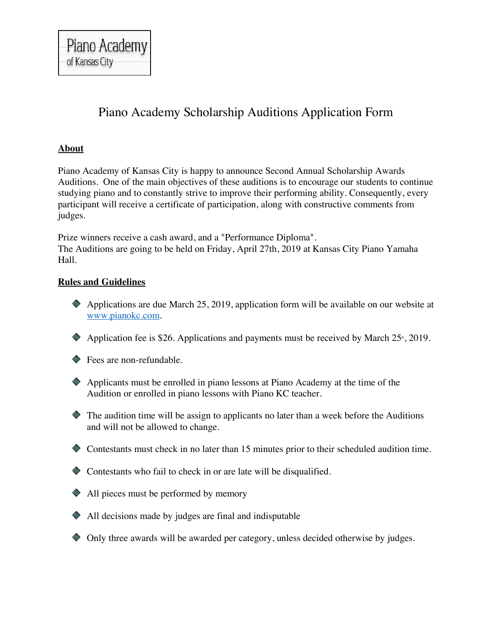# Piano Academy Scholarship Auditions Application Form

# **About**

Piano Academy of Kansas City is happy to announce Second Annual Scholarship Awards Auditions. One of the main objectives of these auditions is to encourage our students to continue studying piano and to constantly strive to improve their performing ability. Consequently, every participant will receive a certificate of participation, along with constructive comments from judges.

Prize winners receive a cash award, and a "Performance Diploma". The Auditions are going to be held on Friday, April 27th, 2019 at Kansas City Piano Yamaha Hall.

## **Rules and Guidelines**

- Applications are due March 25, 2019, application form will be available on our website at www.pianokc.com.
- $\bullet$  Application fee is \$26. Applications and payments must be received by March 25<sup>th</sup>, 2019.

◆ Fees are non-refundable.

- Applicants must be enrolled in piano lessons at Piano Academy at the time of the Audition or enrolled in piano lessons with Piano KC teacher.
- The audition time will be assign to applicants no later than a week before the Auditions and will not be allowed to change.
- Contestants must check in no later than 15 minutes prior to their scheduled audition time.
- Contestants who fail to check in or are late will be disqualified.
- ◆ All pieces must be performed by memory
- All decisions made by judges are final and indisputable
- Only three awards will be awarded per category, unless decided otherwise by judges.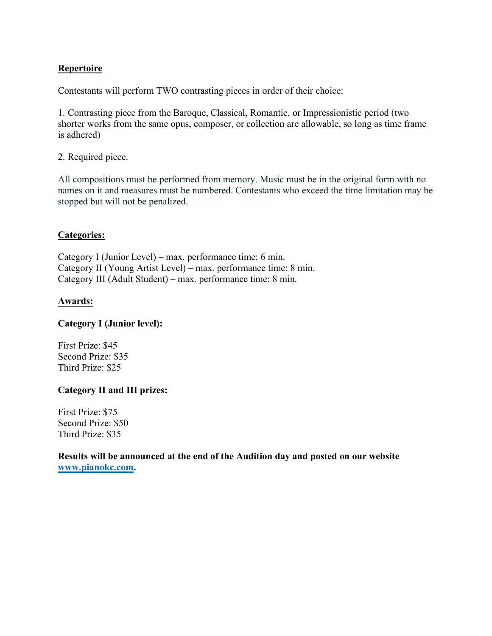## **Repertoire**

Contestants will perform TWO contrasting pieces in order of their choice:

1. Contrasting piece from the Baroque, Classical, Romantic, or Impressionistic period (two shorter works from the same opus, composer, or collection are allowable, so long as time frame is adhered)

2. Required piece.

All compositions must be performed from memory. Music must be in the original form with no names on it and measures must be numbered. Contestants who exceed the time limitation may be stopped but will not be penalized.

#### **Categories:**

Category I (Junior Level) – max. performance time: 6 min. Category II (Young Artist Level) – max. performance time: 8 min. Category III (Adult Student) – max. performance time: 8 min.

#### **Awards:**

#### **Category I (Junior level):**

First Prize: \$45 Second Prize: \$35 Third Prize: \$25

#### **Category II and III prizes:**

First Prize: \$75 Second Prize: \$50 Third Prize: \$35

**Results will be announced at the end of the Audition day and posted on our website www.pianokc.com.**